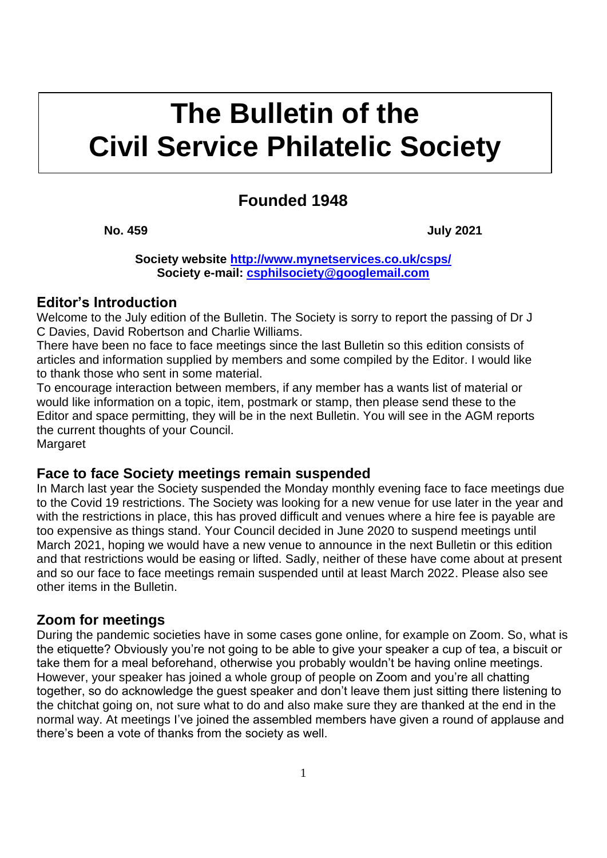# **kkkk The Bulletin of the Civil Service Philatelic Society**

# **Founded 1948**

**No. 459 July 2021**

**Society website<http://www.mynetservices.co.uk/csps/> Society e-mail: [csphilsociety@googlemail.com](mailto:csphilsociety@googlemail.com)**

## **Editor's Introduction**

Welcome to the July edition of the Bulletin. The Society is sorry to report the passing of Dr J C Davies, David Robertson and Charlie Williams.

There have been no face to face meetings since the last Bulletin so this edition consists of articles and information supplied by members and some compiled by the Editor. I would like to thank those who sent in some material.

To encourage interaction between members, if any member has a wants list of material or would like information on a topic, item, postmark or stamp, then please send these to the Editor and space permitting, they will be in the next Bulletin. You will see in the AGM reports the current thoughts of your Council.

**Margaret** 

## **Face to face Society meetings remain suspended**

In March last year the Society suspended the Monday monthly evening face to face meetings due to the Covid 19 restrictions. The Society was looking for a new venue for use later in the year and with the restrictions in place, this has proved difficult and venues where a hire fee is payable are too expensive as things stand. Your Council decided in June 2020 to suspend meetings until March 2021, hoping we would have a new venue to announce in the next Bulletin or this edition and that restrictions would be easing or lifted. Sadly, neither of these have come about at present and so our face to face meetings remain suspended until at least March 2022. Please also see other items in the Bulletin.

# **Zoom for meetings**

During the pandemic societies have in some cases gone online, for example on Zoom. So, what is the etiquette? Obviously you're not going to be able to give your speaker a cup of tea, a biscuit or take them for a meal beforehand, otherwise you probably wouldn't be having online meetings. However, your speaker has joined a whole group of people on Zoom and you're all chatting together, so do acknowledge the guest speaker and don't leave them just sitting there listening to the chitchat going on, not sure what to do and also make sure they are thanked at the end in the normal way. At meetings I've joined the assembled members have given a round of applause and there's been a vote of thanks from the society as well.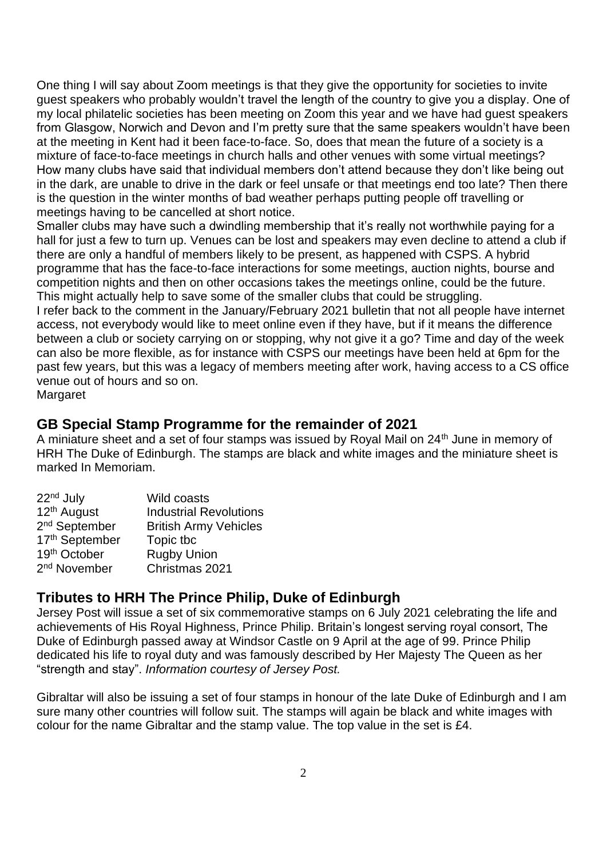One thing I will say about Zoom meetings is that they give the opportunity for societies to invite guest speakers who probably wouldn't travel the length of the country to give you a display. One of my local philatelic societies has been meeting on Zoom this year and we have had guest speakers from Glasgow, Norwich and Devon and I'm pretty sure that the same speakers wouldn't have been at the meeting in Kent had it been face-to-face. So, does that mean the future of a society is a mixture of face-to-face meetings in church halls and other venues with some virtual meetings? How many clubs have said that individual members don't attend because they don't like being out in the dark, are unable to drive in the dark or feel unsafe or that meetings end too late? Then there is the question in the winter months of bad weather perhaps putting people off travelling or meetings having to be cancelled at short notice.

Smaller clubs may have such a dwindling membership that it's really not worthwhile paying for a hall for just a few to turn up. Venues can be lost and speakers may even decline to attend a club if there are only a handful of members likely to be present, as happened with CSPS. A hybrid programme that has the face-to-face interactions for some meetings, auction nights, bourse and competition nights and then on other occasions takes the meetings online, could be the future. This might actually help to save some of the smaller clubs that could be struggling.

I refer back to the comment in the January/February 2021 bulletin that not all people have internet access, not everybody would like to meet online even if they have, but if it means the difference between a club or society carrying on or stopping, why not give it a go? Time and day of the week can also be more flexible, as for instance with CSPS our meetings have been held at 6pm for the past few years, but this was a legacy of members meeting after work, having access to a CS office venue out of hours and so on.

Margaret

# **GB Special Stamp Programme for the remainder of 2021**

A miniature sheet and a set of four stamps was issued by Royal Mail on 24<sup>th</sup> June in memory of HRH The Duke of Edinburgh. The stamps are black and white images and the miniature sheet is marked In Memoriam.

| 22 <sup>nd</sup> July     | Wild coasts                   |
|---------------------------|-------------------------------|
| 12 <sup>th</sup> August   | <b>Industrial Revolutions</b> |
| 2 <sup>nd</sup> September | <b>British Army Vehicles</b>  |
| 17th September            | Topic tbc                     |
| 19th October              | <b>Rugby Union</b>            |
| 2 <sup>nd</sup> November  | Christmas 2021                |

# **Tributes to HRH The Prince Philip, Duke of Edinburgh**

Jersey Post will issue a set of six commemorative stamps on 6 July 2021 celebrating the life and achievements of His Royal Highness, Prince Philip. Britain's longest serving royal consort, The Duke of Edinburgh passed away at Windsor Castle on 9 April at the age of 99. Prince Philip dedicated his life to royal duty and was famously described by Her Majesty The Queen as her "strength and stay". *Information courtesy of Jersey Post.*

Gibraltar will also be issuing a set of four stamps in honour of the late Duke of Edinburgh and I am sure many other countries will follow suit. The stamps will again be black and white images with colour for the name Gibraltar and the stamp value. The top value in the set is £4.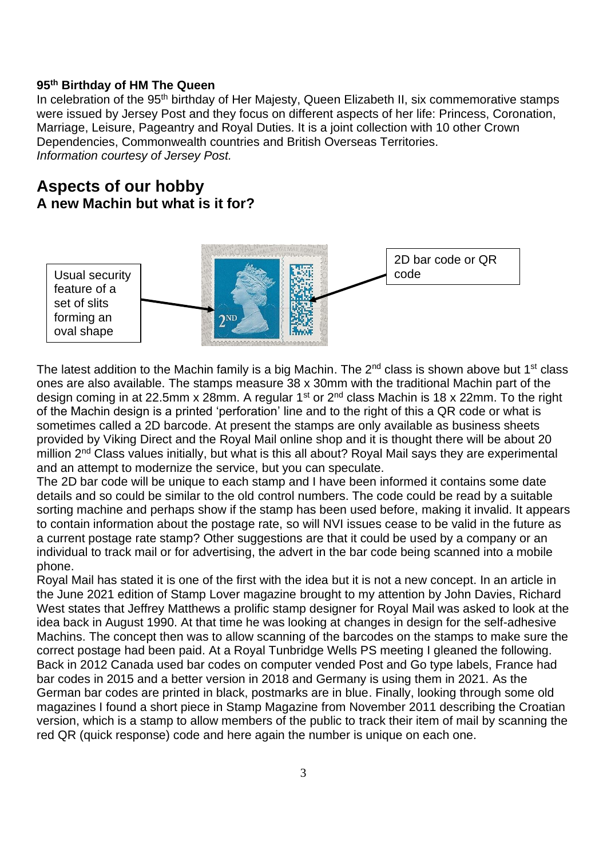#### **95th Birthday of HM The Queen**

In celebration of the 95<sup>th</sup> birthday of Her Majesty, Queen Elizabeth II, six commemorative stamps were issued by Jersey Post and they focus on different aspects of her life: Princess, Coronation, Marriage, Leisure, Pageantry and Royal Duties. It is a joint collection with 10 other Crown Dependencies, Commonwealth countries and British Overseas Territories. *Information courtesy of Jersey Post.*

# **Aspects of our hobby A new Machin but what is it for?**



The latest addition to the Machin family is a big Machin. The  $2<sup>nd</sup>$  class is shown above but 1<sup>st</sup> class ones are also available. The stamps measure 38 x 30mm with the traditional Machin part of the design coming in at 22.5mm x 28mm. A regular  $1<sup>st</sup>$  or  $2<sup>nd</sup>$  class Machin is 18 x 22mm. To the right of the Machin design is a printed 'perforation' line and to the right of this a QR code or what is sometimes called a 2D barcode. At present the stamps are only available as business sheets provided by Viking Direct and the Royal Mail online shop and it is thought there will be about 20 million 2<sup>nd</sup> Class values initially, but what is this all about? Roval Mail says they are experimental and an attempt to modernize the service, but you can speculate.

The 2D bar code will be unique to each stamp and I have been informed it contains some date details and so could be similar to the old control numbers. The code could be read by a suitable sorting machine and perhaps show if the stamp has been used before, making it invalid. It appears to contain information about the postage rate, so will NVI issues cease to be valid in the future as a current postage rate stamp? Other suggestions are that it could be used by a company or an individual to track mail or for advertising, the advert in the bar code being scanned into a mobile phone.

Royal Mail has stated it is one of the first with the idea but it is not a new concept. In an article in the June 2021 edition of Stamp Lover magazine brought to my attention by John Davies, Richard West states that Jeffrey Matthews a prolific stamp designer for Royal Mail was asked to look at the idea back in August 1990. At that time he was looking at changes in design for the self-adhesive Machins. The concept then was to allow scanning of the barcodes on the stamps to make sure the correct postage had been paid. At a Royal Tunbridge Wells PS meeting I gleaned the following. Back in 2012 Canada used bar codes on computer vended Post and Go type labels, France had bar codes in 2015 and a better version in 2018 and Germany is using them in 2021. As the German bar codes are printed in black, postmarks are in blue. Finally, looking through some old magazines I found a short piece in Stamp Magazine from November 2011 describing the Croatian version, which is a stamp to allow members of the public to track their item of mail by scanning the red QR (quick response) code and here again the number is unique on each one.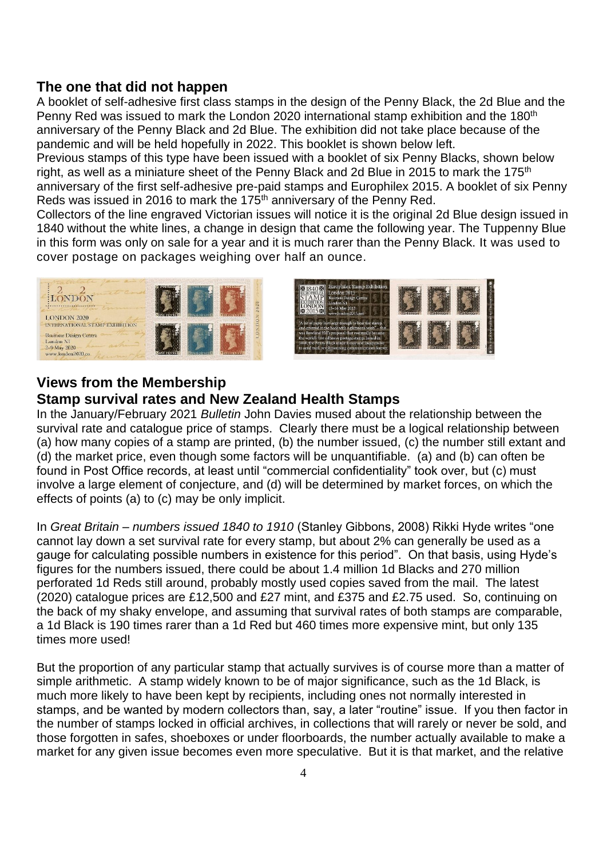## **The one that did not happen**

A booklet of self-adhesive first class stamps in the design of the Penny Black, the 2d Blue and the Penny Red was issued to mark the London 2020 international stamp exhibition and the 180<sup>th</sup> anniversary of the Penny Black and 2d Blue. The exhibition did not take place because of the pandemic and will be held hopefully in 2022. This booklet is shown below left.

Previous stamps of this type have been issued with a booklet of six Penny Blacks, shown below right, as well as a miniature sheet of the Penny Black and 2d Blue in 2015 to mark the 175<sup>th</sup> anniversary of the first self-adhesive pre-paid stamps and Europhilex 2015. A booklet of six Penny Reds was issued in 2016 to mark the 175<sup>th</sup> anniversary of the Penny Red.

Collectors of the line engraved Victorian issues will notice it is the original 2d Blue design issued in 1840 without the white lines, a change in design that came the following year. The Tuppenny Blue in this form was only on sale for a year and it is much rarer than the Penny Black. It was used to cover postage on packages weighing over half an ounce.





# **Views from the Membership**

# **Stamp survival rates and New Zealand Health Stamps**

In the January/February 2021 *Bulletin* John Davies mused about the relationship between the survival rate and catalogue price of stamps. Clearly there must be a logical relationship between (a) how many copies of a stamp are printed, (b) the number issued, (c) the number still extant and (d) the market price, even though some factors will be unquantifiable. (a) and (b) can often be found in Post Office records, at least until "commercial confidentiality" took over, but (c) must involve a large element of conjecture, and (d) will be determined by market forces, on which the effects of points (a) to (c) may be only implicit.

In *Great Britain – numbers issued 1840 to 1910* (Stanley Gibbons, 2008) Rikki Hyde writes "one cannot lay down a set survival rate for every stamp, but about 2% can generally be used as a gauge for calculating possible numbers in existence for this period". On that basis, using Hyde's figures for the numbers issued, there could be about 1.4 million 1d Blacks and 270 million perforated 1d Reds still around, probably mostly used copies saved from the mail. The latest (2020) catalogue prices are £12,500 and £27 mint, and £375 and £2.75 used. So, continuing on the back of my shaky envelope, and assuming that survival rates of both stamps are comparable, a 1d Black is 190 times rarer than a 1d Red but 460 times more expensive mint, but only 135 times more used!

But the proportion of any particular stamp that actually survives is of course more than a matter of simple arithmetic. A stamp widely known to be of major significance, such as the 1d Black, is much more likely to have been kept by recipients, including ones not normally interested in stamps, and be wanted by modern collectors than, say, a later "routine" issue. If you then factor in the number of stamps locked in official archives, in collections that will rarely or never be sold, and those forgotten in safes, shoeboxes or under floorboards, the number actually available to make a market for any given issue becomes even more speculative. But it is that market, and the relative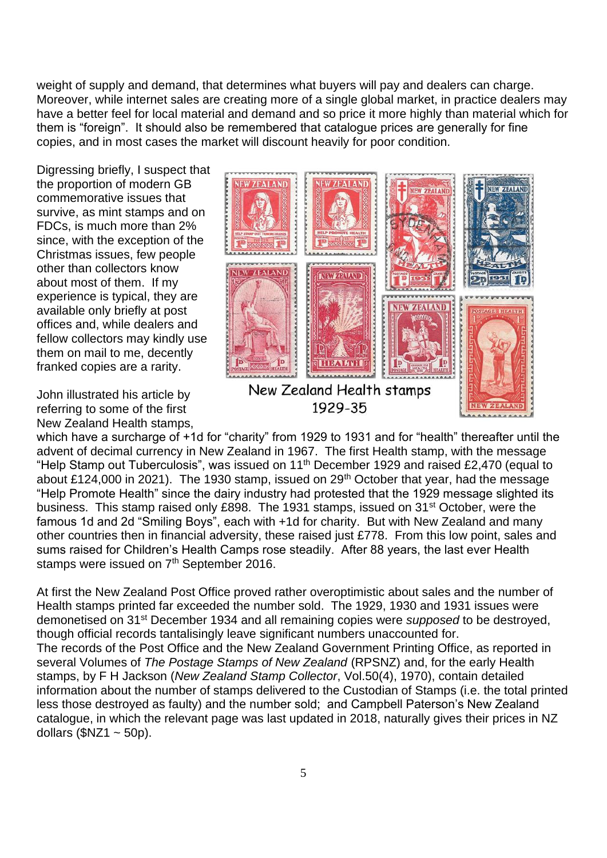weight of supply and demand, that determines what buyers will pay and dealers can charge. Moreover, while internet sales are creating more of a single global market, in practice dealers may have a better feel for local material and demand and so price it more highly than material which for them is "foreign". It should also be remembered that catalogue prices are generally for fine copies, and in most cases the market will discount heavily for poor condition.

Digressing briefly, I suspect that the proportion of modern GB commemorative issues that survive, as mint stamps and on FDCs, is much more than 2% since, with the exception of the Christmas issues, few people other than collectors know about most of them. If my experience is typical, they are available only briefly at post offices and, while dealers and fellow collectors may kindly use them on mail to me, decently franked copies are a rarity.

John illustrated his article by referring to some of the first New Zealand Health stamps,



which have a surcharge of +1d for "charity" from 1929 to 1931 and for "health" thereafter until the advent of decimal currency in New Zealand in 1967. The first Health stamp, with the message "Help Stamp out Tuberculosis", was issued on 11th December 1929 and raised £2,470 (equal to about £124,000 in 2021). The 1930 stamp, issued on  $29<sup>th</sup>$  October that year, had the message "Help Promote Health" since the dairy industry had protested that the 1929 message slighted its business. This stamp raised only £898. The 1931 stamps, issued on 31st October, were the famous 1d and 2d "Smiling Boys", each with +1d for charity. But with New Zealand and many other countries then in financial adversity, these raised just £778. From this low point, sales and sums raised for Children's Health Camps rose steadily. After 88 years, the last ever Health stamps were issued on 7<sup>th</sup> September 2016.

At first the New Zealand Post Office proved rather overoptimistic about sales and the number of Health stamps printed far exceeded the number sold. The 1929, 1930 and 1931 issues were demonetised on 31st December 1934 and all remaining copies were *supposed* to be destroyed, though official records tantalisingly leave significant numbers unaccounted for. The records of the Post Office and the New Zealand Government Printing Office, as reported in several Volumes of *The Postage Stamps of New Zealand* (RPSNZ) and, for the early Health stamps, by F H Jackson (*New Zealand Stamp Collector*, Vol.50(4), 1970), contain detailed information about the number of stamps delivered to the Custodian of Stamps (i.e. the total printed less those destroyed as faulty) and the number sold; and Campbell Paterson's New Zealand catalogue, in which the relevant page was last updated in 2018, naturally gives their prices in NZ dollars  $($NZ1 \sim 50p).$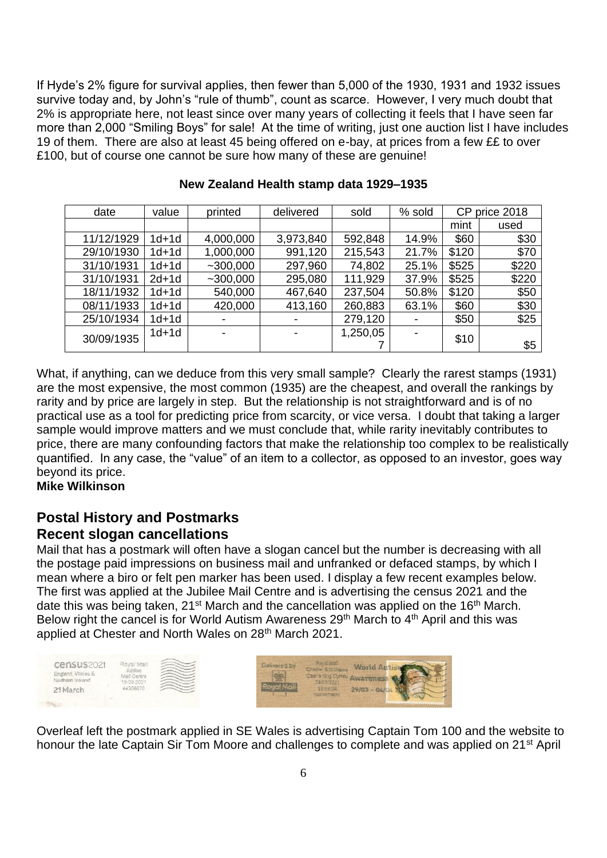If Hyde's 2% figure for survival applies, then fewer than 5,000 of the 1930, 1931 and 1932 issues survive today and, by John's "rule of thumb", count as scarce. However, I very much doubt that 2% is appropriate here, not least since over many years of collecting it feels that I have seen far more than 2,000 "Smiling Boys" for sale! At the time of writing, just one auction list I have includes 19 of them. There are also at least 45 being offered on e-bay, at prices from a few ££ to over £100, but of course one cannot be sure how many of these are genuine!

| date       | value   | printed                  | delivered | sold     | % sold | CP<br>price 2018 |       |
|------------|---------|--------------------------|-----------|----------|--------|------------------|-------|
|            |         |                          |           |          |        | mint             | used  |
| 11/12/1929 | $1d+1d$ | 4,000,000                | 3,973,840 | 592,848  | 14.9%  | \$60             | \$30  |
| 29/10/1930 | $1d+1d$ | 1,000,000                | 991,120   | 215,543  | 21.7%  | \$120            | \$70  |
| 31/10/1931 | $1d+1d$ | ~100,000                 | 297,960   | 74,802   | 25.1%  | \$525            | \$220 |
| 31/10/1931 | $2d+1d$ | $~1$ - 300,000           | 295,080   | 111,929  | 37.9%  | \$525            | \$220 |
| 18/11/1932 | 1d+1d   | 540,000                  | 467,640   | 237,504  | 50.8%  | \$120            | \$50  |
| 08/11/1933 | $1d+1d$ | 420,000                  | 413,160   | 260,883  | 63.1%  | \$60             | \$30  |
| 25/10/1934 | $1d+1d$ |                          |           | 279,120  |        | \$50             | \$25  |
| 30/09/1935 | $1d+1d$ | $\overline{\phantom{0}}$ | -         | 1,250,05 |        | \$10             |       |
|            |         |                          |           |          |        | \$5              |       |

#### **New Zealand Health stamp data 1929–1935**

What, if anything, can we deduce from this very small sample? Clearly the rarest stamps (1931) are the most expensive, the most common (1935) are the cheapest, and overall the rankings by rarity and by price are largely in step. But the relationship is not straightforward and is of no practical use as a tool for predicting price from scarcity, or vice versa. I doubt that taking a larger sample would improve matters and we must conclude that, while rarity inevitably contributes to price, there are many confounding factors that make the relationship too complex to be realistically quantified. In any case, the "value" of an item to a collector, as opposed to an investor, goes way beyond its price.

# **Mike Wilkinson**

# **Postal History and Postmarks Recent slogan cancellations**

Mail that has a postmark will often have a slogan cancel but the number is decreasing with all the postage paid impressions on business mail and unfranked or defaced stamps, by which I mean where a biro or felt pen marker has been used. I display a few recent examples below. The first was applied at the Jubilee Mail Centre and is advertising the census 2021 and the date this was being taken, 21<sup>st</sup> March and the cancellation was applied on the 16<sup>th</sup> March. Below right the cancel is for World Autism Awareness 29<sup>th</sup> March to 4<sup>th</sup> April and this was applied at Chester and North Wales on 28th March 2021.

| census <sub>2021</sub><br>England, Wales &<br>Northern Ireland | Royal Mail<br>Jubilee<br>Mail Centre<br>15-03-2021 | Delivered by<br>million. | 民际战 随道<br>Chester & KLWaler<br>Caer a Gug Cymru.<br>2803.2021 | <b>WANNAMARY AND COMMUNICATIONS</b>    |
|----------------------------------------------------------------|----------------------------------------------------|--------------------------|---------------------------------------------------------------|----------------------------------------|
| 21 March                                                       | 4308870                                            |                          | 19.56.04<br>18492907891                                       | $29/03 -$                              |
|                                                                |                                                    |                          |                                                               | <b>*******************************</b> |

Overleaf left the postmark applied in SE Wales is advertising Captain Tom 100 and the website to honour the late Captain Sir Tom Moore and challenges to complete and was applied on 21<sup>st</sup> April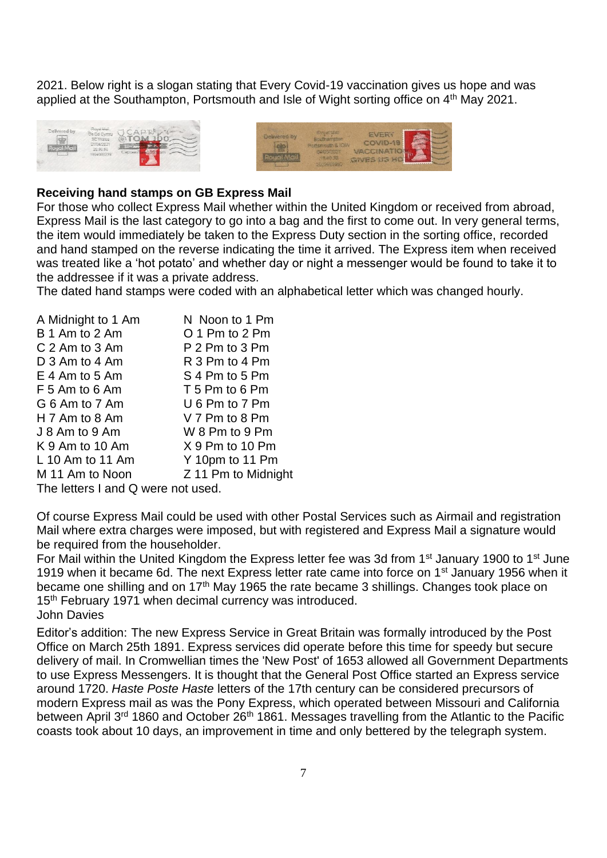2021. Below right is a slogan stating that Every Covid-19 vaccination gives us hope and was applied at the Southampton, Portsmouth and Isle of Wight sorting office on 4<sup>th</sup> May 2021.





#### **Receiving hand stamps on GB Express Mail**

For those who collect Express Mail whether within the United Kingdom or received from abroad, Express Mail is the last category to go into a bag and the first to come out. In very general terms, the item would immediately be taken to the Express Duty section in the sorting office, recorded and hand stamped on the reverse indicating the time it arrived. The Express item when received was treated like a 'hot potato' and whether day or night a messenger would be found to take it to the addressee if it was a private address.

The dated hand stamps were coded with an alphabetical letter which was changed hourly.

| A Midnight to 1 Am                 | N Noon to 1 Pm      |  |  |  |  |
|------------------------------------|---------------------|--|--|--|--|
| B 1 Am to 2 Am                     | O 1 Pm to 2 Pm      |  |  |  |  |
| C 2 Am to 3 Am                     | P 2 Pm to 3 Pm      |  |  |  |  |
| D 3 Am to 4 Am                     | R 3 Pm to 4 Pm      |  |  |  |  |
| $E$ 4 Am to 5 Am                   | S 4 Pm to 5 Pm      |  |  |  |  |
| F 5 Am to 6 Am                     | T 5 Pm to 6 Pm      |  |  |  |  |
| G 6 Am to 7 Am                     | U 6 Pm to 7 Pm      |  |  |  |  |
| H $7$ Am to 8 Am                   | V 7 Pm to 8 Pm      |  |  |  |  |
| J 8 Am to 9 Am                     | W 8 Pm to 9 Pm      |  |  |  |  |
| $K$ 9 Am to 10 Am                  | $X$ 9 Pm to 10 Pm   |  |  |  |  |
| L 10 Am to 11 Am                   | Y 10pm to 11 Pm     |  |  |  |  |
| M 11 Am to Noon                    | Z 11 Pm to Midnight |  |  |  |  |
| The letters I and Q were not used. |                     |  |  |  |  |

Of course Express Mail could be used with other Postal Services such as Airmail and registration Mail where extra charges were imposed, but with registered and Express Mail a signature would be required from the householder.

For Mail within the United Kingdom the Express letter fee was 3d from 1<sup>st</sup> January 1900 to 1<sup>st</sup> June 1919 when it became 6d. The next Express letter rate came into force on 1<sup>st</sup> January 1956 when it became one shilling and on 17th May 1965 the rate became 3 shillings. Changes took place on 15<sup>th</sup> February 1971 when decimal currency was introduced. John Davies

Editor's addition: The new Express Service in Great Britain was formally introduced by the Post Office on March 25th 1891. Express services did operate before this time for speedy but secure delivery of mail. In Cromwellian times the 'New Post' of 1653 allowed all Government Departments to use Express Messengers. It is thought that the General Post Office started an Express service around 1720. *Haste Poste Haste* letters of the 17th century can be considered precursors of modern Express mail as was the [Pony Express,](https://en.wikipedia.org/wiki/Pony_Express) which operated between Missouri and California between April 3<sup>rd</sup> 1860 and October 26<sup>th</sup> 1861. Messages travelling from the Atlantic to the Pacific coasts took about 10 days, an improvement in time and only bettered by the telegraph system.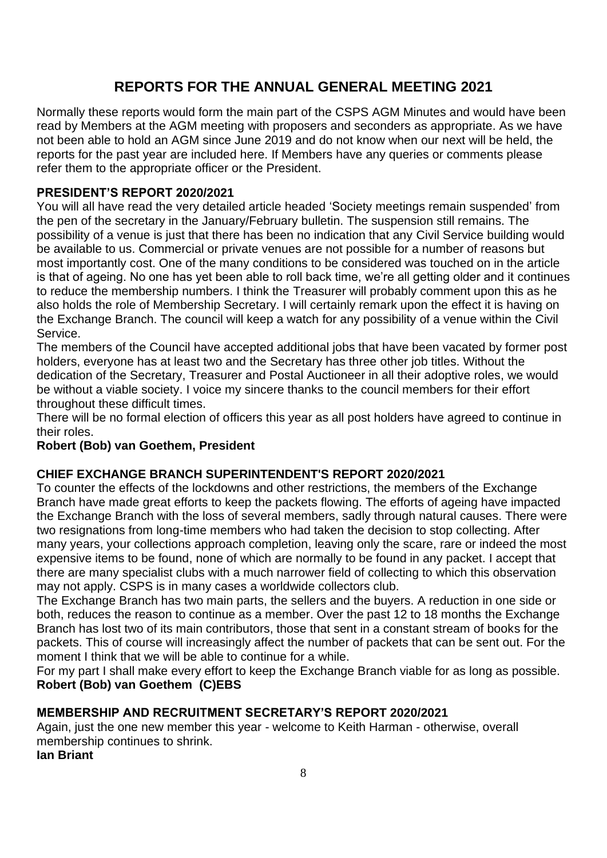# **REPORTS FOR THE ANNUAL GENERAL MEETING 2021**

Normally these reports would form the main part of the CSPS AGM Minutes and would have been read by Members at the AGM meeting with proposers and seconders as appropriate. As we have not been able to hold an AGM since June 2019 and do not know when our next will be held, the reports for the past year are included here. If Members have any queries or comments please refer them to the appropriate officer or the President.

#### **PRESIDENT'S REPORT 2020/2021**

You will all have read the very detailed article headed 'Society meetings remain suspended' from the pen of the secretary in the January/February bulletin. The suspension still remains. The possibility of a venue is just that there has been no indication that any Civil Service building would be available to us. Commercial or private venues are not possible for a number of reasons but most importantly cost. One of the many conditions to be considered was touched on in the article is that of ageing. No one has yet been able to roll back time, we're all getting older and it continues to reduce the membership numbers. I think the Treasurer will probably comment upon this as he also holds the role of Membership Secretary. I will certainly remark upon the effect it is having on the Exchange Branch. The council will keep a watch for any possibility of a venue within the Civil Service.

The members of the Council have accepted additional jobs that have been vacated by former post holders, everyone has at least two and the Secretary has three other job titles. Without the dedication of the Secretary, Treasurer and Postal Auctioneer in all their adoptive roles, we would be without a viable society. I voice my sincere thanks to the council members for their effort throughout these difficult times.

There will be no formal election of officers this year as all post holders have agreed to continue in their roles.

#### **Robert (Bob) van Goethem, President**

#### **CHIEF EXCHANGE BRANCH SUPERINTENDENT'S REPORT 2020/2021**

To counter the effects of the lockdowns and other restrictions, the members of the Exchange Branch have made great efforts to keep the packets flowing. The efforts of ageing have impacted the Exchange Branch with the loss of several members, sadly through natural causes. There were two resignations from long-time members who had taken the decision to stop collecting. After many years, your collections approach completion, leaving only the scare, rare or indeed the most expensive items to be found, none of which are normally to be found in any packet. I accept that there are many specialist clubs with a much narrower field of collecting to which this observation may not apply. CSPS is in many cases a worldwide collectors club.

The Exchange Branch has two main parts, the sellers and the buyers. A reduction in one side or both, reduces the reason to continue as a member. Over the past 12 to 18 months the Exchange Branch has lost two of its main contributors, those that sent in a constant stream of books for the packets. This of course will increasingly affect the number of packets that can be sent out. For the moment I think that we will be able to continue for a while.

For my part I shall make every effort to keep the Exchange Branch viable for as long as possible. **Robert (Bob) van Goethem (C)EBS**

#### **MEMBERSHIP AND RECRUITMENT SECRETARY'S REPORT 2020/2021**

Again, just the one new member this year - welcome to Keith Harman - otherwise, overall membership continues to shrink.

**Ian Briant**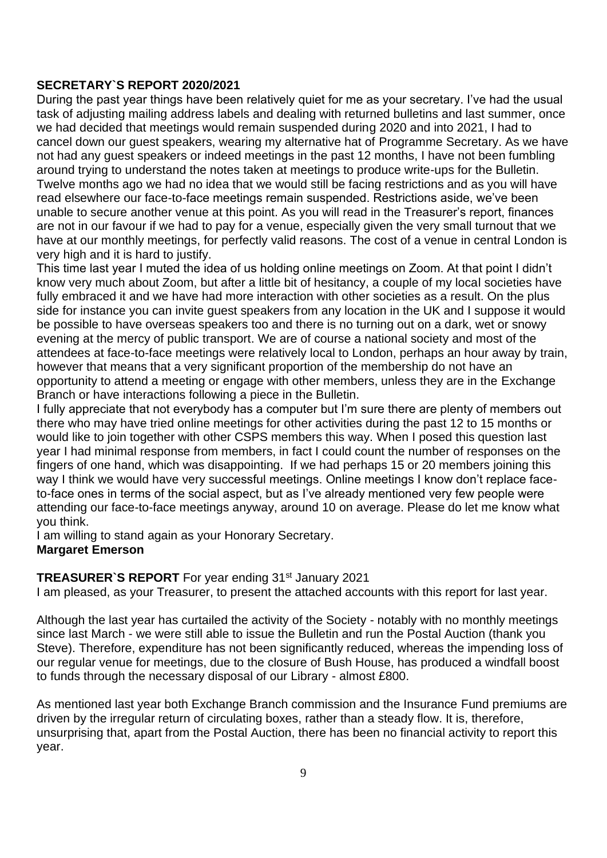#### **SECRETARY`S REPORT 2020/2021**

During the past year things have been relatively quiet for me as your secretary. I've had the usual task of adjusting mailing address labels and dealing with returned bulletins and last summer, once we had decided that meetings would remain suspended during 2020 and into 2021, I had to cancel down our guest speakers, wearing my alternative hat of Programme Secretary. As we have not had any guest speakers or indeed meetings in the past 12 months, I have not been fumbling around trying to understand the notes taken at meetings to produce write-ups for the Bulletin. Twelve months ago we had no idea that we would still be facing restrictions and as you will have read elsewhere our face-to-face meetings remain suspended. Restrictions aside, we've been unable to secure another venue at this point. As you will read in the Treasurer's report, finances are not in our favour if we had to pay for a venue, especially given the very small turnout that we have at our monthly meetings, for perfectly valid reasons. The cost of a venue in central London is very high and it is hard to justify.

This time last year I muted the idea of us holding online meetings on Zoom. At that point I didn't know very much about Zoom, but after a little bit of hesitancy, a couple of my local societies have fully embraced it and we have had more interaction with other societies as a result. On the plus side for instance you can invite guest speakers from any location in the UK and I suppose it would be possible to have overseas speakers too and there is no turning out on a dark, wet or snowy evening at the mercy of public transport. We are of course a national society and most of the attendees at face-to-face meetings were relatively local to London, perhaps an hour away by train, however that means that a very significant proportion of the membership do not have an opportunity to attend a meeting or engage with other members, unless they are in the Exchange Branch or have interactions following a piece in the Bulletin.

I fully appreciate that not everybody has a computer but I'm sure there are plenty of members out there who may have tried online meetings for other activities during the past 12 to 15 months or would like to join together with other CSPS members this way. When I posed this question last year I had minimal response from members, in fact I could count the number of responses on the fingers of one hand, which was disappointing. If we had perhaps 15 or 20 members joining this way I think we would have very successful meetings. Online meetings I know don't replace faceto-face ones in terms of the social aspect, but as I've already mentioned very few people were attending our face-to-face meetings anyway, around 10 on average. Please do let me know what you think.

I am willing to stand again as your Honorary Secretary.

#### **Margaret Emerson**

#### **TREASURER`S REPORT** For year ending 31<sup>st</sup> January 2021

I am pleased, as your Treasurer, to present the attached accounts with this report for last year.

Although the last year has curtailed the activity of the Society - notably with no monthly meetings since last March - we were still able to issue the Bulletin and run the Postal Auction (thank you Steve). Therefore, expenditure has not been significantly reduced, whereas the impending loss of our regular venue for meetings, due to the closure of Bush House, has produced a windfall boost to funds through the necessary disposal of our Library - almost £800.

As mentioned last year both Exchange Branch commission and the Insurance Fund premiums are driven by the irregular return of circulating boxes, rather than a steady flow. It is, therefore, unsurprising that, apart from the Postal Auction, there has been no financial activity to report this year.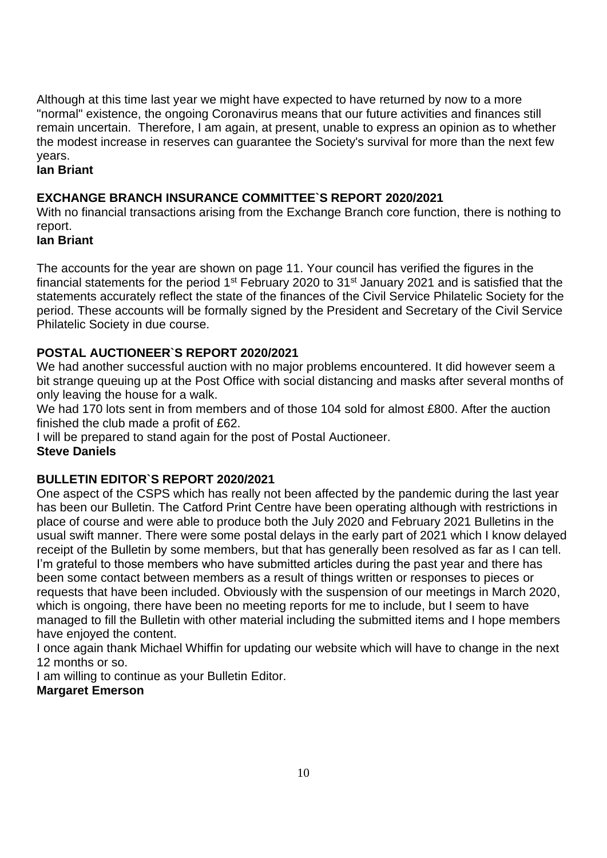Although at this time last year we might have expected to have returned by now to a more "normal" existence, the ongoing Coronavirus means that our future activities and finances still remain uncertain. Therefore, I am again, at present, unable to express an opinion as to whether the modest increase in reserves can guarantee the Society's survival for more than the next few years.

## **Ian Briant**

#### **EXCHANGE BRANCH INSURANCE COMMITTEE`S REPORT 2020/2021**

With no financial transactions arising from the Exchange Branch core function, there is nothing to report.

# **Ian Briant**

The accounts for the year are shown on page 11. Your council has verified the figures in the financial statements for the period  $1<sup>st</sup>$  February 2020 to 31 $<sup>st</sup>$  January 2021 and is satisfied that the</sup> statements accurately reflect the state of the finances of the Civil Service Philatelic Society for the period. These accounts will be formally signed by the President and Secretary of the Civil Service Philatelic Society in due course.

#### **POSTAL AUCTIONEER`S REPORT 2020/2021**

We had another successful auction with no major problems encountered. It did however seem a bit strange queuing up at the Post Office with social distancing and masks after several months of only leaving the house for a walk.

We had 170 lots sent in from members and of those 104 sold for almost £800. After the auction finished the club made a profit of £62.

I will be prepared to stand again for the post of Postal Auctioneer.

#### **Steve Daniels**

#### **BULLETIN EDITOR`S REPORT 2020/2021**

One aspect of the CSPS which has really not been affected by the pandemic during the last year has been our Bulletin. The Catford Print Centre have been operating although with restrictions in place of course and were able to produce both the July 2020 and February 2021 Bulletins in the usual swift manner. There were some postal delays in the early part of 2021 which I know delayed receipt of the Bulletin by some members, but that has generally been resolved as far as I can tell. I'm grateful to those members who have submitted articles during the past year and there has been some contact between members as a result of things written or responses to pieces or requests that have been included. Obviously with the suspension of our meetings in March 2020, which is ongoing, there have been no meeting reports for me to include, but I seem to have managed to fill the Bulletin with other material including the submitted items and I hope members have enjoyed the content.

I once again thank Michael Whiffin for updating our website which will have to change in the next 12 months or so.

I am willing to continue as your Bulletin Editor. **Margaret Emerson**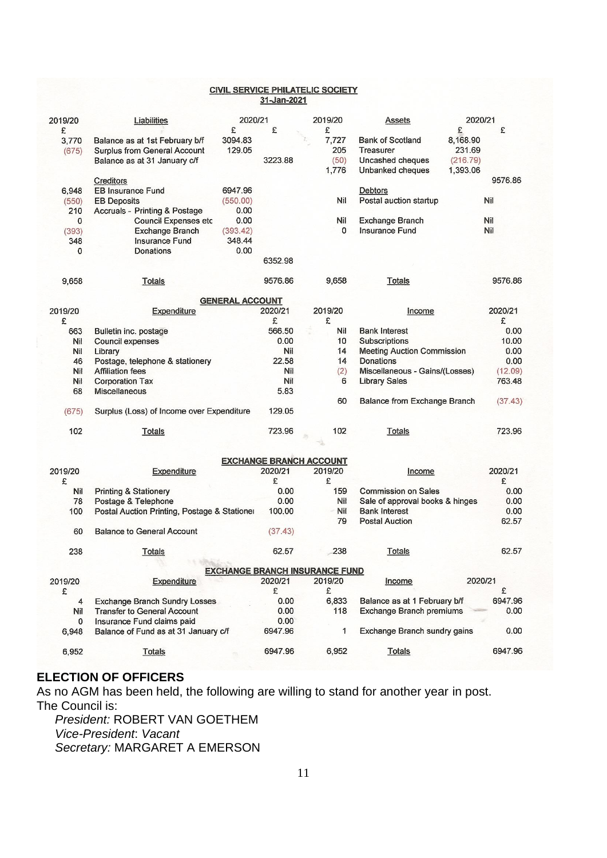#### **CIVIL SERVICE PHILATELIC SOCIETY** 31-Jan-2021

| 2019/20                               | Liabilities                                                                                    | 2020/21                    |                                | 2019/20      |              | Assets                                                                       | 2020/21                                         |                |  |
|---------------------------------------|------------------------------------------------------------------------------------------------|----------------------------|--------------------------------|--------------|--------------|------------------------------------------------------------------------------|-------------------------------------------------|----------------|--|
| £<br>3,770<br>(675)                   | Balance as at 1st February b/f<br>Surplus from General Account<br>Balance as at 31 January c/f | £<br>3094.83<br>129.05     | £<br>3223.88                   | £<br>7,727   | 205<br>(50)  | <b>Bank of Scotland</b><br>Treasurer<br>Uncashed cheques<br>Unbanked cheques | £<br>8,168.90<br>231.69<br>(216.79)<br>1,393.06 | £              |  |
| 6,948<br>(550)                        | Creditors<br><b>EB Insurance Fund</b><br><b>EB Deposits</b>                                    | 6947.96<br>(550.00)        |                                |              | 1,776<br>Nil | <b>Debtors</b><br>Postal auction startup                                     |                                                 | 9576.86<br>Nil |  |
| 210                                   | Accruals - Printing & Postage                                                                  | 0.00                       |                                |              |              |                                                                              |                                                 |                |  |
| 0<br>(393)<br>348                     | <b>Council Expenses etc</b><br><b>Exchange Branch</b><br>Insurance Fund                        | 0.00<br>(393.42)<br>348.44 |                                |              | Nil<br>0     | <b>Exchange Branch</b><br>Insurance Fund                                     |                                                 | Nil<br>Nil     |  |
| 0                                     | <b>Donations</b>                                                                               | 0.00                       | 6352.98                        |              |              |                                                                              |                                                 |                |  |
| 9,658                                 | Totals                                                                                         |                            | 9576.86                        |              | 9,658        | <b>Totals</b>                                                                |                                                 | 9576.86        |  |
|                                       |                                                                                                | <b>GENERAL ACCOUNT</b>     |                                |              |              |                                                                              |                                                 |                |  |
| 2019/20<br>£                          | Expenditure                                                                                    |                            | 2020/21<br>£                   | 2019/20<br>£ |              | Income                                                                       |                                                 | 2020/21<br>£   |  |
| 663                                   | Bulletin inc. postage                                                                          |                            | 566.50<br>0.00                 |              | Nil<br>10    | <b>Bank Interest</b>                                                         |                                                 | 0.00<br>10.00  |  |
| Nil<br>Nil                            | Council expenses<br>Library                                                                    |                            | Nil                            |              | 14           | <b>Subscriptions</b><br><b>Meeting Auction Commission</b>                    |                                                 | 0.00           |  |
| 46                                    | Postage, telephone & stationery                                                                |                            | 22.58                          |              | 14           | Donations                                                                    |                                                 | 0.00           |  |
| Nil                                   | <b>Affiliation fees</b>                                                                        |                            | Nil                            |              | (2)          | Miscellaneous - Gains/(Losses)                                               |                                                 | (12.09)        |  |
| Nil                                   | <b>Corporation Tax</b>                                                                         |                            | Nil                            |              | 6            | <b>Library Sales</b>                                                         |                                                 | 763.48         |  |
| 68                                    | <b>Miscellaneous</b>                                                                           |                            | 5.83                           |              |              |                                                                              |                                                 |                |  |
|                                       |                                                                                                |                            |                                |              | 60           | <b>Balance from Exchange Branch</b>                                          |                                                 | (37.43)        |  |
| (675)                                 | Surplus (Loss) of Income over Expenditure                                                      |                            | 129.05                         |              |              |                                                                              |                                                 |                |  |
| 102                                   | Totals                                                                                         |                            | 723.96                         |              | 102          | Totals                                                                       |                                                 | 723.96         |  |
|                                       |                                                                                                |                            |                                |              |              |                                                                              |                                                 |                |  |
|                                       |                                                                                                |                            | <b>EXCHANGE BRANCH ACCOUNT</b> |              |              |                                                                              |                                                 |                |  |
| 2019/20<br>£                          | Expenditure                                                                                    |                            | 2020/21<br>£                   | 2019/20<br>£ |              | Income                                                                       |                                                 | 2020/21<br>£   |  |
| Nil                                   | <b>Printing &amp; Stationery</b>                                                               |                            | 0.00                           |              | 159          | <b>Commission on Sales</b>                                                   |                                                 | 0.00           |  |
| 78                                    | Postage & Telephone                                                                            |                            | 0.00                           |              | Nil          | Sale of approval books & hinges                                              |                                                 | 0.00           |  |
| 100                                   | Postal Auction Printing, Postage & Stationer                                                   |                            | 100.00                         |              | <b>Nil</b>   | <b>Bank Interest</b>                                                         |                                                 | 0.00           |  |
| 60                                    | <b>Balance to General Account</b>                                                              |                            | (37.43)                        |              | 79           | <b>Postal Auction</b>                                                        |                                                 | 62.57          |  |
| 238                                   | Totals                                                                                         |                            | 62.57                          |              | 238          | Totals                                                                       |                                                 | 62.57          |  |
|                                       |                                                                                                |                            |                                |              |              |                                                                              |                                                 |                |  |
| <b>EXCHANGE BRANCH INSURANCE FUND</b> |                                                                                                |                            |                                |              |              |                                                                              |                                                 |                |  |
| 2019/20<br>£                          | Expenditure                                                                                    |                            | 2020/21<br>£                   | 2019/20<br>£ |              | Income                                                                       | 2020/21                                         | £              |  |
| 4                                     | <b>Exchange Branch Sundry Losses</b>                                                           |                            | 0.00                           |              | 6,833        | Balance as at 1 February b/f                                                 |                                                 | 6947.96        |  |
| Nil                                   | <b>Transfer to General Account</b>                                                             |                            | 0.00                           |              | 118          | Exchange Branch premiums                                                     |                                                 | 0.00           |  |
| 0                                     | Insurance Fund claims paid                                                                     |                            | 0.00                           |              |              |                                                                              |                                                 |                |  |
| 6,948                                 | Balance of Fund as at 31 January c/f                                                           |                            | 6947.96                        |              | 1            | Exchange Branch sundry gains                                                 |                                                 | 0.00           |  |
| 6,952                                 | <b>Totals</b>                                                                                  |                            | 6947.96                        |              | 6,952        | <b>Totals</b>                                                                |                                                 | 6947.96        |  |

# **ELECTION OF OFFICERS**

As no AGM has been held, the following are willing to stand for another year in post. The Council is:

*President:* ROBERT VAN GOETHEM *Vice-President*: *Vacant Secretary:* MARGARET A EMERSON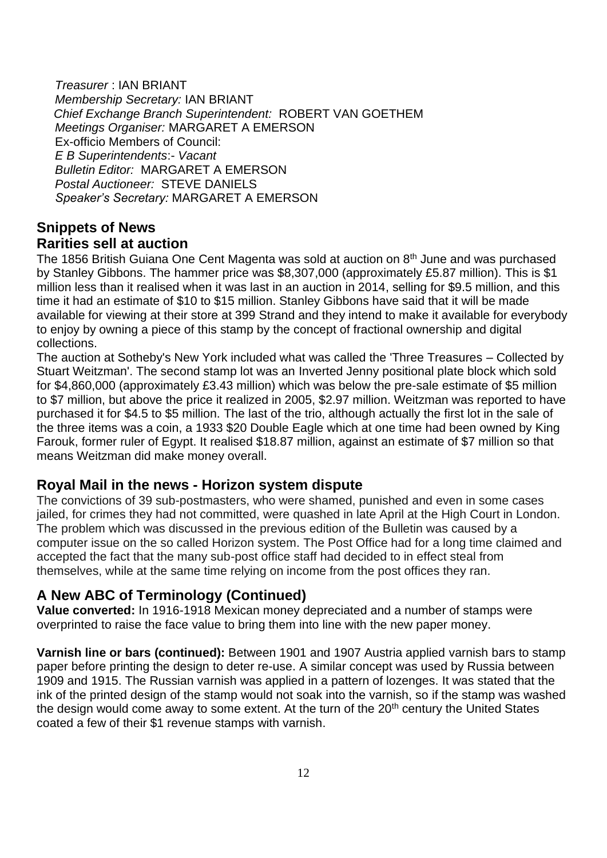*Treasurer* : IAN BRIANT *Membership Secretary:* IAN BRIANT  *Chief Exchange Branch Superintendent:* ROBERT VAN GOETHEM *Meetings Organiser:* MARGARET A EMERSON Ex-officio Members of Council: *E B Superintendents*:- *Vacant Bulletin Editor:* MARGARET A EMERSON *Postal Auctioneer:* STEVE DANIELS *Speaker's Secretary:* MARGARET A EMERSON

# **Snippets of News Rarities sell at auction**

The 1856 British Guiana One Cent Magenta was sold at auction on 8<sup>th</sup> June and was purchased by Stanley Gibbons. The hammer price was \$8,307,000 (approximately £5.87 million). This is \$1 million less than it realised when it was last in an auction in 2014, selling for \$9.5 million, and this time it had an estimate of \$10 to \$15 million. Stanley Gibbons have said that it will be made available for viewing at their store at 399 Strand and they intend to make it available for everybody to enjoy by owning a piece of this stamp by the concept of fractional ownership and digital collections.

The auction at Sotheby's New York included what was called the 'Three Treasures – Collected by Stuart Weitzman'. The second stamp lot was an Inverted Jenny positional plate block which sold for \$4,860,000 (approximately £3.43 million) which was below the pre-sale estimate of \$5 million to \$7 million, but above the price it realized in 2005, \$2.97 million. Weitzman was reported to have purchased it for \$4.5 to \$5 million. The last of the trio, although actually the first lot in the sale of the three items was a coin, a 1933 \$20 Double Eagle which at one time had been owned by King Farouk, former ruler of Egypt. It realised \$18.87 million, against an estimate of \$7 million so that means Weitzman did make money overall.

# **Royal Mail in the news - Horizon system dispute**

The convictions of 39 sub-postmasters, who were shamed, punished and even in some cases jailed, for crimes they had not committed, were quashed in late April at the High Court in London. The problem which was discussed in the previous edition of the Bulletin was caused by a computer issue on the so called Horizon system. The Post Office had for a long time claimed and accepted the fact that the many sub-post office staff had decided to in effect steal from themselves, while at the same time relying on income from the post offices they ran.

# **A New ABC of Terminology (Continued)**

**Value converted:** In 1916-1918 Mexican money depreciated and a number of stamps were overprinted to raise the face value to bring them into line with the new paper money.

**Varnish line or bars (continued):** Between 1901 and 1907 Austria applied varnish bars to stamp paper before printing the design to deter re-use. A similar concept was used by Russia between 1909 and 1915. The Russian varnish was applied in a pattern of lozenges. It was stated that the ink of the printed design of the stamp would not soak into the varnish, so if the stamp was washed the design would come away to some extent. At the turn of the  $20<sup>th</sup>$  century the United States coated a few of their \$1 revenue stamps with varnish.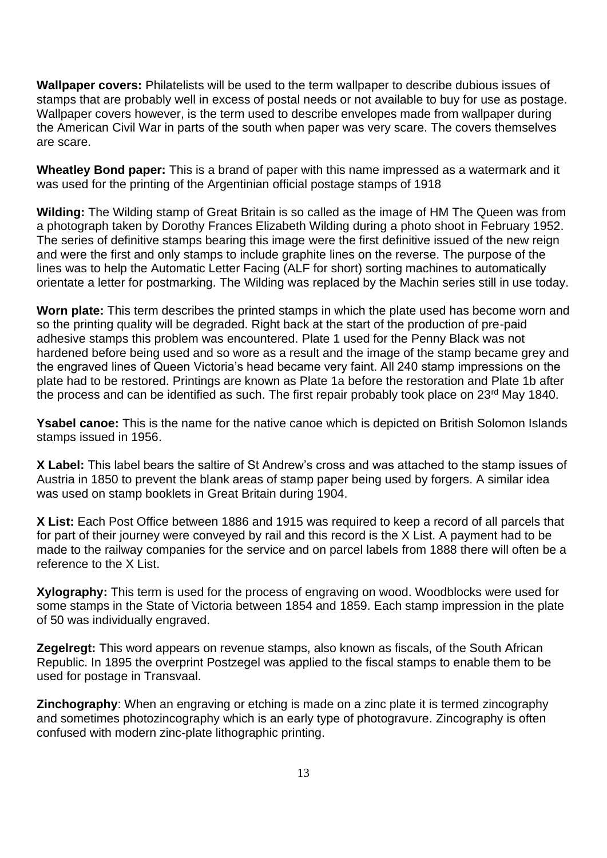**Wallpaper covers:** Philatelists will be used to the term wallpaper to describe dubious issues of stamps that are probably well in excess of postal needs or not available to buy for use as postage. Wallpaper covers however, is the term used to describe envelopes made from wallpaper during the American Civil War in parts of the south when paper was very scare. The covers themselves are scare.

**Wheatley Bond paper:** This is a brand of paper with this name impressed as a watermark and it was used for the printing of the Argentinian official postage stamps of 1918

**Wilding:** The Wilding stamp of Great Britain is so called as the image of HM The Queen was from a photograph taken by Dorothy Frances Elizabeth Wilding during a photo shoot in February 1952. The series of definitive stamps bearing this image were the first definitive issued of the new reign and were the first and only stamps to include graphite lines on the reverse. The purpose of the lines was to help the Automatic Letter Facing (ALF for short) sorting machines to automatically orientate a letter for postmarking. The Wilding was replaced by the Machin series still in use today.

**Worn plate:** This term describes the printed stamps in which the plate used has become worn and so the printing quality will be degraded. Right back at the start of the production of pre-paid adhesive stamps this problem was encountered. Plate 1 used for the Penny Black was not hardened before being used and so wore as a result and the image of the stamp became grey and the engraved lines of Queen Victoria's head became very faint. All 240 stamp impressions on the plate had to be restored. Printings are known as Plate 1a before the restoration and Plate 1b after the process and can be identified as such. The first repair probably took place on 23<sup>rd</sup> May 1840.

**Ysabel canoe:** This is the name for the native canoe which is depicted on British Solomon Islands stamps issued in 1956.

**X Label:** This label bears the saltire of St Andrew's cross and was attached to the stamp issues of Austria in 1850 to prevent the blank areas of stamp paper being used by forgers. A similar idea was used on stamp booklets in Great Britain during 1904.

**X List:** Each Post Office between 1886 and 1915 was required to keep a record of all parcels that for part of their journey were conveyed by rail and this record is the X List. A payment had to be made to the railway companies for the service and on parcel labels from 1888 there will often be a reference to the X List.

**Xylography:** This term is used for the process of engraving on wood. Woodblocks were used for some stamps in the State of Victoria between 1854 and 1859. Each stamp impression in the plate of 50 was individually engraved.

**Zegelregt:** This word appears on revenue stamps, also known as fiscals, of the South African Republic. In 1895 the overprint Postzegel was applied to the fiscal stamps to enable them to be used for postage in Transvaal.

**Zinchography**: When an engraving or etching is made on a zinc plate it is termed zincography and sometimes photozincography which is an early type of photogravure. Zincography is often confused with modern zinc-plate lithographic printing.